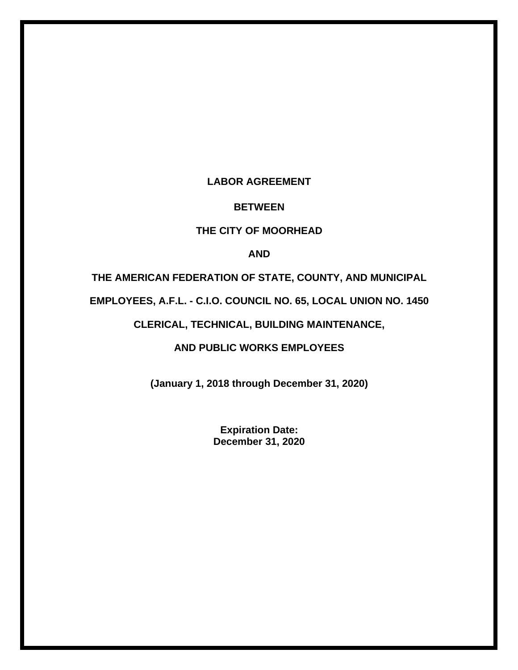## **LABOR AGREEMENT**

#### **BETWEEN**

## **THE CITY OF MOORHEAD**

## **AND**

## **THE AMERICAN FEDERATION OF STATE, COUNTY, AND MUNICIPAL**

**EMPLOYEES, A.F.L. - C.I.O. COUNCIL NO. 65, LOCAL UNION NO. 1450**

## **CLERICAL, TECHNICAL, BUILDING MAINTENANCE,**

## **AND PUBLIC WORKS EMPLOYEES**

**(January 1, 2018 through December 31, 2020)**

**Expiration Date: December 31, 2020**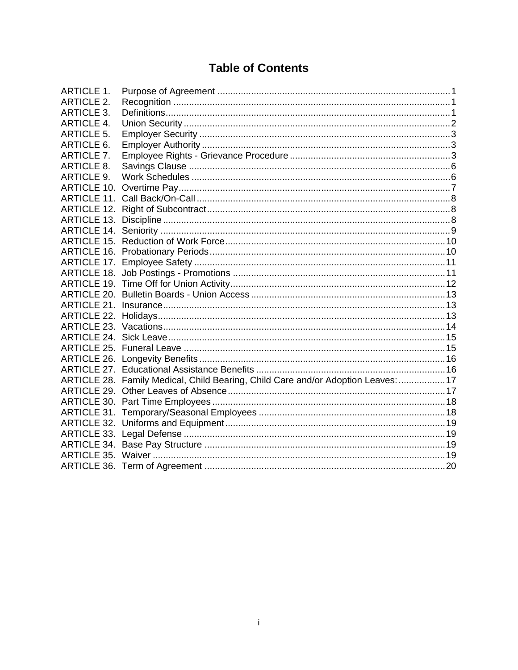# **Table of Contents**

| ARTICLE 1.         |                                                                      |  |
|--------------------|----------------------------------------------------------------------|--|
| <b>ARTICLE 2.</b>  |                                                                      |  |
| ARTICLE 3.         |                                                                      |  |
| ARTICLE 4.         |                                                                      |  |
| <b>ARTICLE 5.</b>  |                                                                      |  |
| ARTICLE 6.         |                                                                      |  |
| <b>ARTICLE 7.</b>  |                                                                      |  |
| <b>ARTICLE 8.</b>  |                                                                      |  |
| <b>ARTICLE 9.</b>  |                                                                      |  |
|                    |                                                                      |  |
|                    |                                                                      |  |
|                    |                                                                      |  |
| <b>ARTICLE 13.</b> |                                                                      |  |
| <b>ARTICLE 14.</b> |                                                                      |  |
| ARTICLE 15.        |                                                                      |  |
| ARTICLE 16.        |                                                                      |  |
| ARTICLE 17.        |                                                                      |  |
| <b>ARTICLE 18.</b> |                                                                      |  |
| ARTICLE 19.        |                                                                      |  |
| ARTICLE 20.        |                                                                      |  |
| ARTICLE 21.        |                                                                      |  |
|                    |                                                                      |  |
|                    |                                                                      |  |
|                    |                                                                      |  |
|                    |                                                                      |  |
|                    |                                                                      |  |
| ARTICLE 27.        |                                                                      |  |
| ARTICLE 28.        | Family Medical, Child Bearing, Child Care and/or Adoption Leaves: 17 |  |
| ARTICLE 29.        |                                                                      |  |
|                    |                                                                      |  |
|                    |                                                                      |  |
|                    |                                                                      |  |
|                    |                                                                      |  |
|                    |                                                                      |  |
|                    |                                                                      |  |
|                    |                                                                      |  |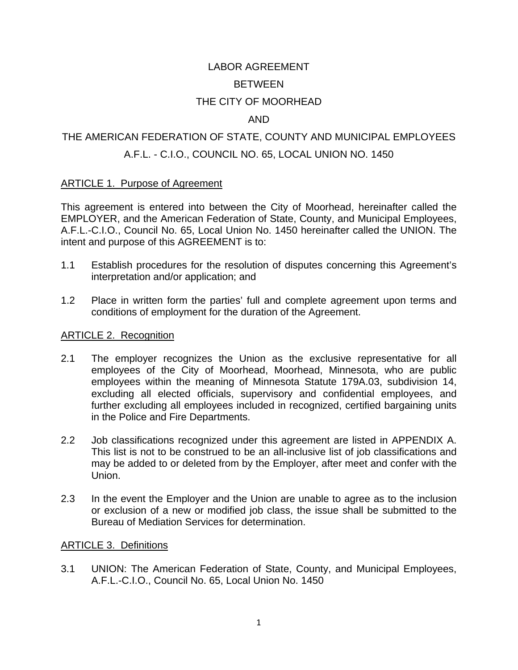## LABOR AGREEMENT BETWEEN

## THE CITY OF MOORHEAD

## AND

## THE AMERICAN FEDERATION OF STATE, COUNTY AND MUNICIPAL EMPLOYEES A.F.L. - C.I.O., COUNCIL NO. 65, LOCAL UNION NO. 1450

#### ARTICLE 1. Purpose of Agreement

This agreement is entered into between the City of Moorhead, hereinafter called the EMPLOYER, and the American Federation of State, County, and Municipal Employees, A.F.L.-C.I.O., Council No. 65, Local Union No. 1450 hereinafter called the UNION. The intent and purpose of this AGREEMENT is to:

- 1.1 Establish procedures for the resolution of disputes concerning this Agreement's interpretation and/or application; and
- 1.2 Place in written form the parties' full and complete agreement upon terms and conditions of employment for the duration of the Agreement.

## ARTICLE 2. Recognition

- 2.1 The employer recognizes the Union as the exclusive representative for all employees of the City of Moorhead, Moorhead, Minnesota, who are public employees within the meaning of Minnesota Statute 179A.03, subdivision 14, excluding all elected officials, supervisory and confidential employees, and further excluding all employees included in recognized, certified bargaining units in the Police and Fire Departments.
- 2.2 Job classifications recognized under this agreement are listed in APPENDIX A. This list is not to be construed to be an all-inclusive list of job classifications and may be added to or deleted from by the Employer, after meet and confer with the Union.
- 2.3 In the event the Employer and the Union are unable to agree as to the inclusion or exclusion of a new or modified job class, the issue shall be submitted to the Bureau of Mediation Services for determination.

#### ARTICLE 3. Definitions

3.1 UNION: The American Federation of State, County, and Municipal Employees, A.F.L.-C.I.O., Council No. 65, Local Union No. 1450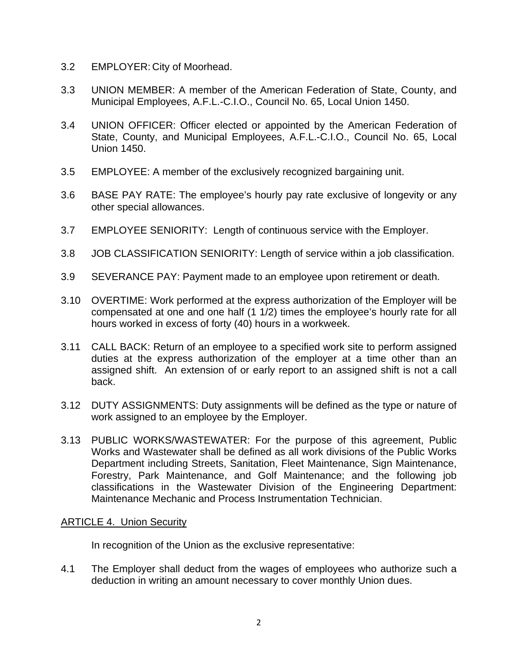- 3.2 EMPLOYER: City of Moorhead.
- 3.3 UNION MEMBER: A member of the American Federation of State, County, and Municipal Employees, A.F.L.-C.I.O., Council No. 65, Local Union 1450.
- 3.4 UNION OFFICER: Officer elected or appointed by the American Federation of State, County, and Municipal Employees, A.F.L.-C.I.O., Council No. 65, Local Union 1450.
- 3.5 EMPLOYEE: A member of the exclusively recognized bargaining unit.
- 3.6 BASE PAY RATE: The employee's hourly pay rate exclusive of longevity or any other special allowances.
- 3.7 EMPLOYEE SENIORITY: Length of continuous service with the Employer.
- 3.8 JOB CLASSIFICATION SENIORITY: Length of service within a job classification.
- 3.9 SEVERANCE PAY: Payment made to an employee upon retirement or death.
- 3.10 OVERTIME: Work performed at the express authorization of the Employer will be compensated at one and one half (1 1/2) times the employee's hourly rate for all hours worked in excess of forty (40) hours in a workweek.
- 3.11 CALL BACK: Return of an employee to a specified work site to perform assigned duties at the express authorization of the employer at a time other than an assigned shift. An extension of or early report to an assigned shift is not a call back.
- 3.12 DUTY ASSIGNMENTS: Duty assignments will be defined as the type or nature of work assigned to an employee by the Employer.
- 3.13 PUBLIC WORKS/WASTEWATER: For the purpose of this agreement, Public Works and Wastewater shall be defined as all work divisions of the Public Works Department including Streets, Sanitation, Fleet Maintenance, Sign Maintenance, Forestry, Park Maintenance, and Golf Maintenance; and the following job classifications in the Wastewater Division of the Engineering Department: Maintenance Mechanic and Process Instrumentation Technician.

## ARTICLE 4. Union Security

In recognition of the Union as the exclusive representative:

4.1 The Employer shall deduct from the wages of employees who authorize such a deduction in writing an amount necessary to cover monthly Union dues.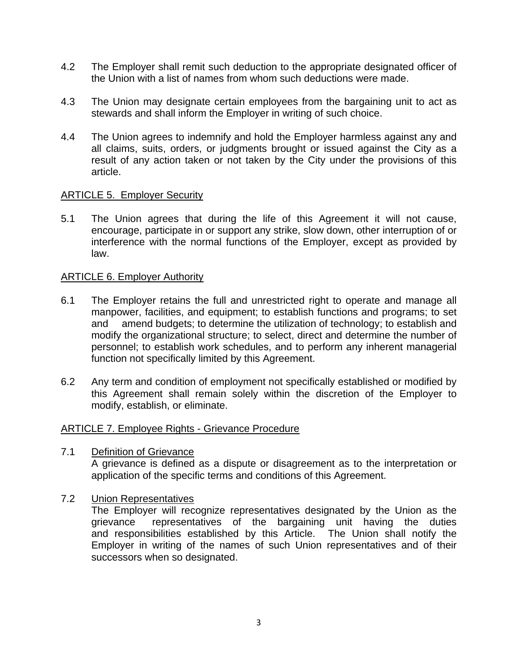- 4.2 The Employer shall remit such deduction to the appropriate designated officer of the Union with a list of names from whom such deductions were made.
- 4.3 The Union may designate certain employees from the bargaining unit to act as stewards and shall inform the Employer in writing of such choice.
- 4.4 The Union agrees to indemnify and hold the Employer harmless against any and all claims, suits, orders, or judgments brought or issued against the City as a result of any action taken or not taken by the City under the provisions of this article.

#### ARTICLE 5. Employer Security

5.1 The Union agrees that during the life of this Agreement it will not cause, encourage, participate in or support any strike, slow down, other interruption of or interference with the normal functions of the Employer, except as provided by law.

#### ARTICLE 6. Employer Authority

- 6.1 The Employer retains the full and unrestricted right to operate and manage all manpower, facilities, and equipment; to establish functions and programs; to set and amend budgets; to determine the utilization of technology; to establish and modify the organizational structure; to select, direct and determine the number of personnel; to establish work schedules, and to perform any inherent managerial function not specifically limited by this Agreement.
- 6.2 Any term and condition of employment not specifically established or modified by this Agreement shall remain solely within the discretion of the Employer to modify, establish, or eliminate.

#### ARTICLE 7. Employee Rights - Grievance Procedure

7.1 Definition of Grievance

A grievance is defined as a dispute or disagreement as to the interpretation or application of the specific terms and conditions of this Agreement.

#### 7.2 Union Representatives

The Employer will recognize representatives designated by the Union as the grievance representatives of the bargaining unit having the duties and responsibilities established by this Article. The Union shall notify the Employer in writing of the names of such Union representatives and of their successors when so designated.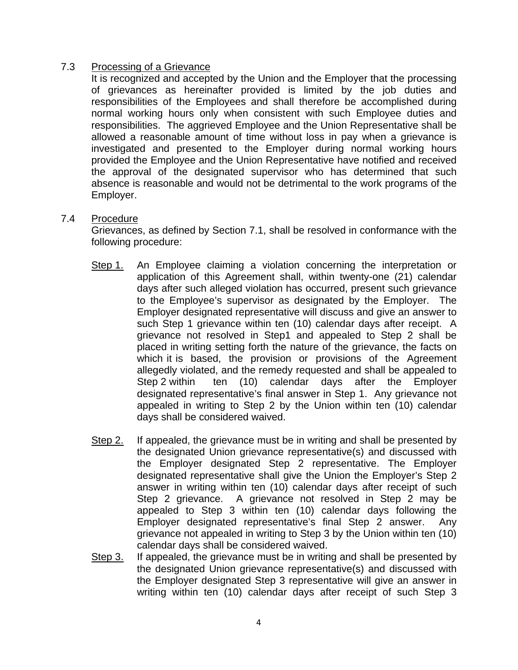## 7.3 Processing of a Grievance

It is recognized and accepted by the Union and the Employer that the processing of grievances as hereinafter provided is limited by the job duties and responsibilities of the Employees and shall therefore be accomplished during normal working hours only when consistent with such Employee duties and responsibilities. The aggrieved Employee and the Union Representative shall be allowed a reasonable amount of time without loss in pay when a grievance is investigated and presented to the Employer during normal working hours provided the Employee and the Union Representative have notified and received the approval of the designated supervisor who has determined that such absence is reasonable and would not be detrimental to the work programs of the Employer.

#### 7.4 Procedure

Grievances, as defined by Section 7.1, shall be resolved in conformance with the following procedure:

- Step 1. An Employee claiming a violation concerning the interpretation or application of this Agreement shall, within twenty-one (21) calendar days after such alleged violation has occurred, present such grievance to the Employee's supervisor as designated by the Employer. The Employer designated representative will discuss and give an answer to such Step 1 grievance within ten (10) calendar days after receipt. A grievance not resolved in Step1 and appealed to Step 2 shall be placed in writing setting forth the nature of the grievance, the facts on which it is based, the provision or provisions of the Agreement allegedly violated, and the remedy requested and shall be appealed to Step 2 within ten (10) calendar days after the Employer designated representative's final answer in Step 1. Any grievance not appealed in writing to Step 2 by the Union within ten (10) calendar days shall be considered waived.
- Step 2. If appealed, the grievance must be in writing and shall be presented by the designated Union grievance representative(s) and discussed with the Employer designated Step 2 representative. The Employer designated representative shall give the Union the Employer's Step 2 answer in writing within ten (10) calendar days after receipt of such Step 2 grievance. A grievance not resolved in Step 2 may be appealed to Step 3 within ten (10) calendar days following the Employer designated representative's final Step 2 answer. Any grievance not appealed in writing to Step 3 by the Union within ten (10) calendar days shall be considered waived.
- Step 3. If appealed, the grievance must be in writing and shall be presented by the designated Union grievance representative(s) and discussed with the Employer designated Step 3 representative will give an answer in writing within ten (10) calendar days after receipt of such Step 3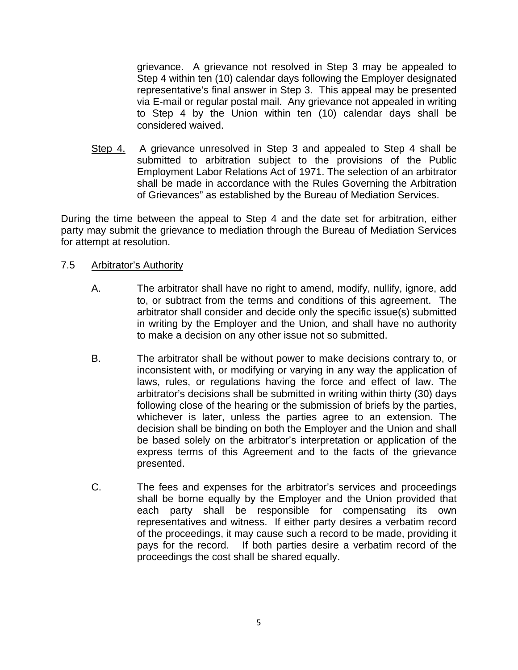grievance. A grievance not resolved in Step 3 may be appealed to Step 4 within ten (10) calendar days following the Employer designated representative's final answer in Step 3. This appeal may be presented via E-mail or regular postal mail. Any grievance not appealed in writing to Step 4 by the Union within ten (10) calendar days shall be considered waived.

Step 4. A grievance unresolved in Step 3 and appealed to Step 4 shall be submitted to arbitration subject to the provisions of the Public Employment Labor Relations Act of 1971. The selection of an arbitrator shall be made in accordance with the Rules Governing the Arbitration of Grievances" as established by the Bureau of Mediation Services.

During the time between the appeal to Step 4 and the date set for arbitration, either party may submit the grievance to mediation through the Bureau of Mediation Services for attempt at resolution.

#### 7.5 Arbitrator's Authority

- A. The arbitrator shall have no right to amend, modify, nullify, ignore, add to, or subtract from the terms and conditions of this agreement. The arbitrator shall consider and decide only the specific issue(s) submitted in writing by the Employer and the Union, and shall have no authority to make a decision on any other issue not so submitted.
- B. The arbitrator shall be without power to make decisions contrary to, or inconsistent with, or modifying or varying in any way the application of laws, rules, or regulations having the force and effect of law. The arbitrator's decisions shall be submitted in writing within thirty (30) days following close of the hearing or the submission of briefs by the parties, whichever is later, unless the parties agree to an extension. The decision shall be binding on both the Employer and the Union and shall be based solely on the arbitrator's interpretation or application of the express terms of this Agreement and to the facts of the grievance presented.
- C. The fees and expenses for the arbitrator's services and proceedings shall be borne equally by the Employer and the Union provided that each party shall be responsible for compensating its own representatives and witness. If either party desires a verbatim record of the proceedings, it may cause such a record to be made, providing it pays for the record. If both parties desire a verbatim record of the proceedings the cost shall be shared equally.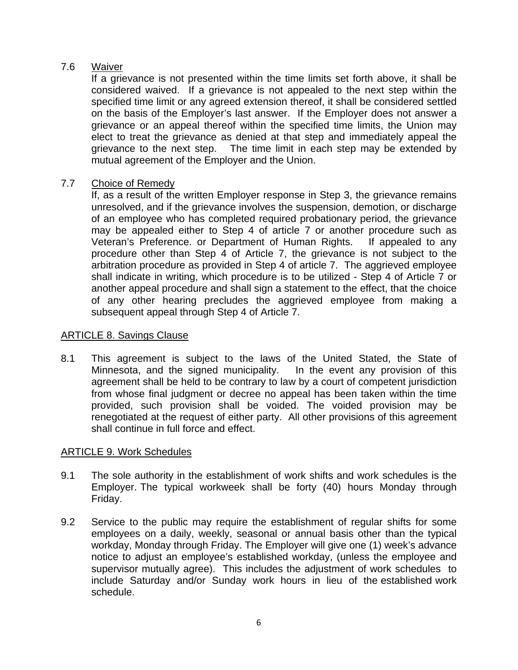## 7.6 Waiver

If a grievance is not presented within the time limits set forth above, it shall be considered waived. If a grievance is not appealed to the next step within the specified time limit or any agreed extension thereof, it shall be considered settled on the basis of the Employer's last answer. If the Employer does not answer a grievance or an appeal thereof within the specified time limits, the Union may elect to treat the grievance as denied at that step and immediately appeal the grievance to the next step. The time limit in each step may be extended by mutual agreement of the Employer and the Union.

## 7.7 Choice of Remedy

If, as a result of the written Employer response in Step 3, the grievance remains unresolved, and if the grievance involves the suspension, demotion, or discharge of an employee who has completed required probationary period, the grievance may be appealed either to Step 4 of article 7 or another procedure such as Veteran's Preference. or Department of Human Rights. If appealed to any procedure other than Step 4 of Article 7, the grievance is not subject to the arbitration procedure as provided in Step 4 of article 7. The aggrieved employee shall indicate in writing, which procedure is to be utilized - Step 4 of Article 7 or another appeal procedure and shall sign a statement to the effect, that the choice of any other hearing precludes the aggrieved employee from making a subsequent appeal through Step 4 of Article 7.

## ARTICLE 8. Savings Clause

8.1 This agreement is subject to the laws of the United Stated, the State of Minnesota, and the signed municipality. In the event any provision of this agreement shall be held to be contrary to law by a court of competent jurisdiction from whose final judgment or decree no appeal has been taken within the time provided, such provision shall be voided. The voided provision may be renegotiated at the request of either party. All other provisions of this agreement shall continue in full force and effect.

## ARTICLE 9. Work Schedules

- 9.1 The sole authority in the establishment of work shifts and work schedules is the Employer. The typical workweek shall be forty (40) hours Monday through Friday.
- 9.2 Service to the public may require the establishment of regular shifts for some employees on a daily, weekly, seasonal or annual basis other than the typical workday, Monday through Friday. The Employer will give one (1) week's advance notice to adjust an employee's established workday, (unless the employee and supervisor mutually agree). This includes the adjustment of work schedules to include Saturday and/or Sunday work hours in lieu of the established work schedule.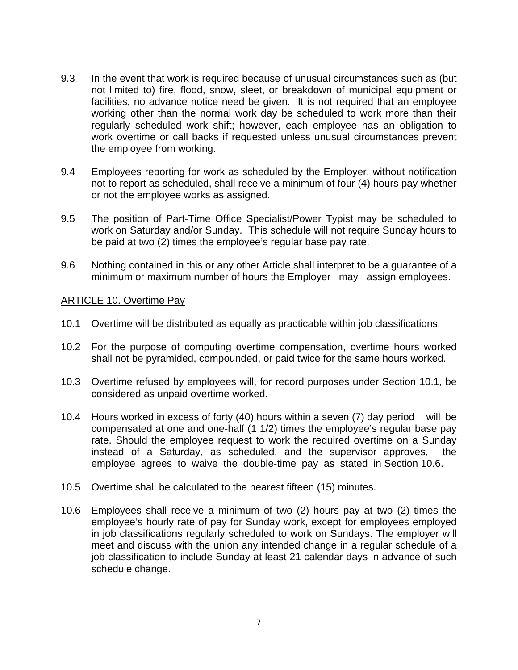- 9.3 In the event that work is required because of unusual circumstances such as (but not limited to) fire, flood, snow, sleet, or breakdown of municipal equipment or facilities, no advance notice need be given. It is not required that an employee working other than the normal work day be scheduled to work more than their regularly scheduled work shift; however, each employee has an obligation to work overtime or call backs if requested unless unusual circumstances prevent the employee from working.
- 9.4 Employees reporting for work as scheduled by the Employer, without notification not to report as scheduled, shall receive a minimum of four (4) hours pay whether or not the employee works as assigned.
- 9.5 The position of Part-Time Office Specialist/Power Typist may be scheduled to work on Saturday and/or Sunday. This schedule will not require Sunday hours to be paid at two (2) times the employee's regular base pay rate.
- 9.6 Nothing contained in this or any other Article shall interpret to be a guarantee of a minimum or maximum number of hours the Employer may assign employees.

## ARTICLE 10. Overtime Pay

- 10.1 Overtime will be distributed as equally as practicable within job classifications.
- 10.2 For the purpose of computing overtime compensation, overtime hours worked shall not be pyramided, compounded, or paid twice for the same hours worked.
- 10.3 Overtime refused by employees will, for record purposes under Section 10.1, be considered as unpaid overtime worked.
- 10.4 Hours worked in excess of forty (40) hours within a seven (7) day period will be compensated at one and one-half (1 1/2) times the employee's regular base pay rate. Should the employee request to work the required overtime on a Sunday instead of a Saturday, as scheduled, and the supervisor approves, the employee agrees to waive the double-time pay as stated in Section 10.6.
- 10.5 Overtime shall be calculated to the nearest fifteen (15) minutes.
- 10.6 Employees shall receive a minimum of two (2) hours pay at two (2) times the employee's hourly rate of pay for Sunday work, except for employees employed in job classifications regularly scheduled to work on Sundays. The employer will meet and discuss with the union any intended change in a regular schedule of a job classification to include Sunday at least 21 calendar days in advance of such schedule change.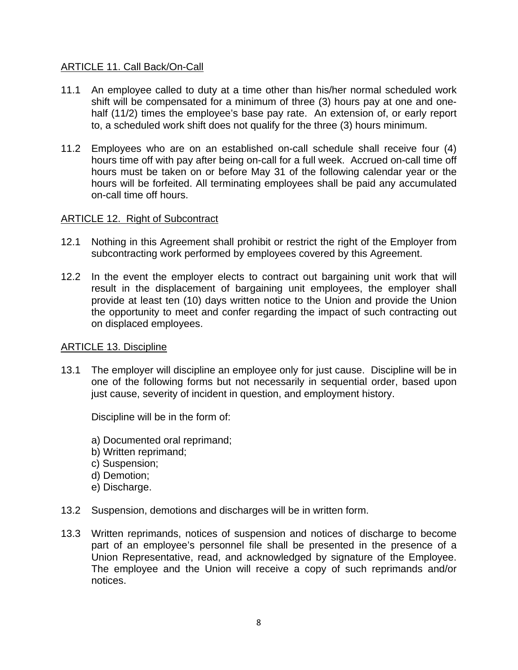## ARTICLE 11. Call Back/On-Call

- 11.1 An employee called to duty at a time other than his/her normal scheduled work shift will be compensated for a minimum of three (3) hours pay at one and onehalf (11/2) times the employee's base pay rate. An extension of, or early report to, a scheduled work shift does not qualify for the three (3) hours minimum.
- 11.2 Employees who are on an established on-call schedule shall receive four (4) hours time off with pay after being on-call for a full week. Accrued on-call time off hours must be taken on or before May 31 of the following calendar year or the hours will be forfeited. All terminating employees shall be paid any accumulated on-call time off hours.

## ARTICLE 12. Right of Subcontract

- 12.1 Nothing in this Agreement shall prohibit or restrict the right of the Employer from subcontracting work performed by employees covered by this Agreement.
- 12.2 In the event the employer elects to contract out bargaining unit work that will result in the displacement of bargaining unit employees, the employer shall provide at least ten (10) days written notice to the Union and provide the Union the opportunity to meet and confer regarding the impact of such contracting out on displaced employees.

## ARTICLE 13. Discipline

13.1 The employer will discipline an employee only for just cause. Discipline will be in one of the following forms but not necessarily in sequential order, based upon just cause, severity of incident in question, and employment history.

Discipline will be in the form of:

- a) Documented oral reprimand;
- b) Written reprimand;
- c) Suspension;
- d) Demotion;
- e) Discharge.
- 13.2 Suspension, demotions and discharges will be in written form.
- 13.3 Written reprimands, notices of suspension and notices of discharge to become part of an employee's personnel file shall be presented in the presence of a Union Representative, read, and acknowledged by signature of the Employee. The employee and the Union will receive a copy of such reprimands and/or notices.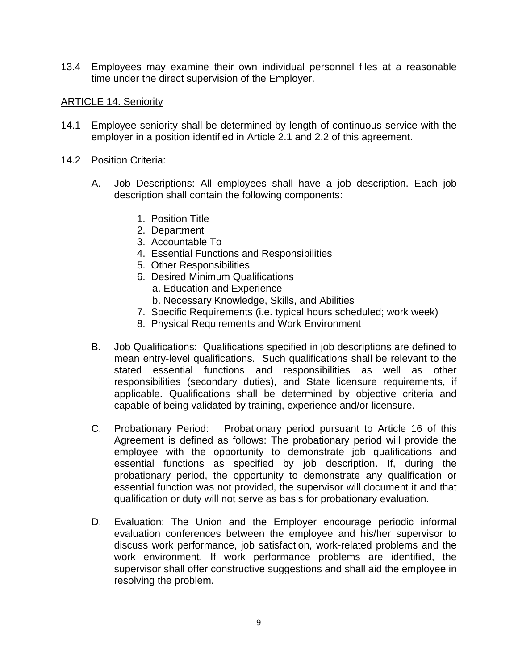13.4 Employees may examine their own individual personnel files at a reasonable time under the direct supervision of the Employer.

## ARTICLE 14. Seniority

- 14.1 Employee seniority shall be determined by length of continuous service with the employer in a position identified in Article 2.1 and 2.2 of this agreement.
- 14.2 Position Criteria:
	- A. Job Descriptions: All employees shall have a job description. Each job description shall contain the following components:
		- 1. Position Title
		- 2. Department
		- 3. Accountable To
		- 4. Essential Functions and Responsibilities
		- 5. Other Responsibilities
		- 6. Desired Minimum Qualifications
			- a. Education and Experience
			- b. Necessary Knowledge, Skills, and Abilities
		- 7. Specific Requirements (i.e. typical hours scheduled; work week)
		- 8. Physical Requirements and Work Environment
	- B. Job Qualifications: Qualifications specified in job descriptions are defined to mean entry-level qualifications. Such qualifications shall be relevant to the stated essential functions and responsibilities as well as other responsibilities (secondary duties), and State licensure requirements, if applicable. Qualifications shall be determined by objective criteria and capable of being validated by training, experience and/or licensure.
	- C. Probationary Period: Probationary period pursuant to Article 16 of this Agreement is defined as follows: The probationary period will provide the employee with the opportunity to demonstrate job qualifications and essential functions as specified by job description. If, during the probationary period, the opportunity to demonstrate any qualification or essential function was not provided, the supervisor will document it and that qualification or duty will not serve as basis for probationary evaluation.
	- D. Evaluation: The Union and the Employer encourage periodic informal evaluation conferences between the employee and his/her supervisor to discuss work performance, job satisfaction, work-related problems and the work environment. If work performance problems are identified, the supervisor shall offer constructive suggestions and shall aid the employee in resolving the problem.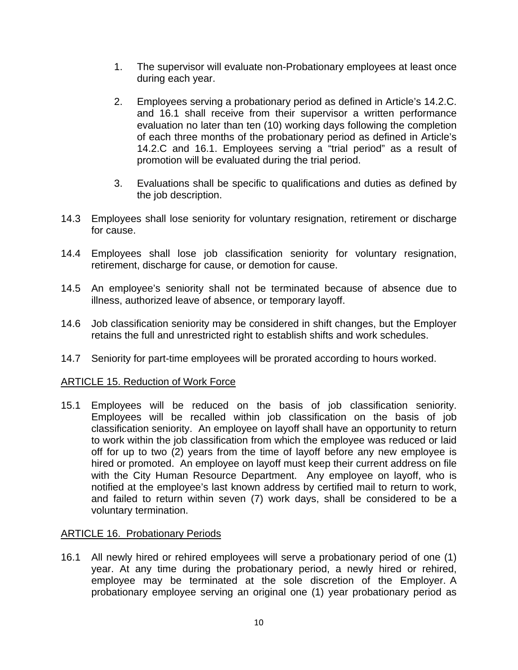- 1. The supervisor will evaluate non-Probationary employees at least once during each year.
- 2. Employees serving a probationary period as defined in Article's 14.2.C. and 16.1 shall receive from their supervisor a written performance evaluation no later than ten (10) working days following the completion of each three months of the probationary period as defined in Article's 14.2.C and 16.1. Employees serving a "trial period" as a result of promotion will be evaluated during the trial period.
- 3. Evaluations shall be specific to qualifications and duties as defined by the job description.
- 14.3 Employees shall lose seniority for voluntary resignation, retirement or discharge for cause.
- 14.4 Employees shall lose job classification seniority for voluntary resignation, retirement, discharge for cause, or demotion for cause.
- 14.5 An employee's seniority shall not be terminated because of absence due to illness, authorized leave of absence, or temporary layoff.
- 14.6 Job classification seniority may be considered in shift changes, but the Employer retains the full and unrestricted right to establish shifts and work schedules.
- 14.7 Seniority for part-time employees will be prorated according to hours worked.

## ARTICLE 15. Reduction of Work Force

15.1 Employees will be reduced on the basis of job classification seniority. Employees will be recalled within job classification on the basis of job classification seniority. An employee on layoff shall have an opportunity to return to work within the job classification from which the employee was reduced or laid off for up to two (2) years from the time of layoff before any new employee is hired or promoted. An employee on layoff must keep their current address on file with the City Human Resource Department. Any employee on layoff, who is notified at the employee's last known address by certified mail to return to work, and failed to return within seven (7) work days, shall be considered to be a voluntary termination.

## ARTICLE 16. Probationary Periods

16.1 All newly hired or rehired employees will serve a probationary period of one (1) year. At any time during the probationary period, a newly hired or rehired, employee may be terminated at the sole discretion of the Employer. A probationary employee serving an original one (1) year probationary period as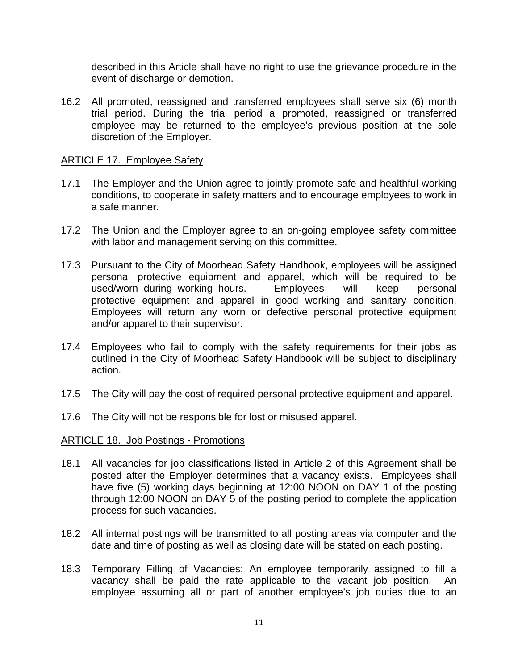described in this Article shall have no right to use the grievance procedure in the event of discharge or demotion.

16.2 All promoted, reassigned and transferred employees shall serve six (6) month trial period. During the trial period a promoted, reassigned or transferred employee may be returned to the employee's previous position at the sole discretion of the Employer.

## ARTICLE 17. Employee Safety

- 17.1 The Employer and the Union agree to jointly promote safe and healthful working conditions, to cooperate in safety matters and to encourage employees to work in a safe manner.
- 17.2 The Union and the Employer agree to an on-going employee safety committee with labor and management serving on this committee.
- 17.3 Pursuant to the City of Moorhead Safety Handbook, employees will be assigned personal protective equipment and apparel, which will be required to be used/worn during working hours. Employees will keep personal protective equipment and apparel in good working and sanitary condition. Employees will return any worn or defective personal protective equipment and/or apparel to their supervisor.
- 17.4 Employees who fail to comply with the safety requirements for their jobs as outlined in the City of Moorhead Safety Handbook will be subject to disciplinary action.
- 17.5 The City will pay the cost of required personal protective equipment and apparel.
- 17.6 The City will not be responsible for lost or misused apparel.

#### ARTICLE 18. Job Postings - Promotions

- 18.1 All vacancies for job classifications listed in Article 2 of this Agreement shall be posted after the Employer determines that a vacancy exists. Employees shall have five (5) working days beginning at 12:00 NOON on DAY 1 of the posting through 12:00 NOON on DAY 5 of the posting period to complete the application process for such vacancies.
- 18.2 All internal postings will be transmitted to all posting areas via computer and the date and time of posting as well as closing date will be stated on each posting.
- 18.3 Temporary Filling of Vacancies: An employee temporarily assigned to fill a vacancy shall be paid the rate applicable to the vacant job position. An employee assuming all or part of another employee's job duties due to an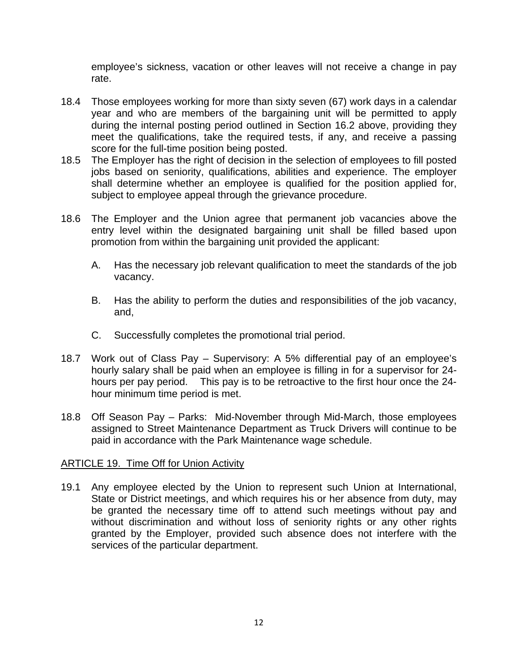employee's sickness, vacation or other leaves will not receive a change in pay rate.

- 18.4 Those employees working for more than sixty seven (67) work days in a calendar year and who are members of the bargaining unit will be permitted to apply during the internal posting period outlined in Section 16.2 above, providing they meet the qualifications, take the required tests, if any, and receive a passing score for the full-time position being posted.
- 18.5 The Employer has the right of decision in the selection of employees to fill posted jobs based on seniority, qualifications, abilities and experience. The employer shall determine whether an employee is qualified for the position applied for, subject to employee appeal through the grievance procedure.
- 18.6 The Employer and the Union agree that permanent job vacancies above the entry level within the designated bargaining unit shall be filled based upon promotion from within the bargaining unit provided the applicant:
	- A. Has the necessary job relevant qualification to meet the standards of the job vacancy.
	- B. Has the ability to perform the duties and responsibilities of the job vacancy, and,
	- C. Successfully completes the promotional trial period.
- 18.7 Work out of Class Pay Supervisory: A 5% differential pay of an employee's hourly salary shall be paid when an employee is filling in for a supervisor for 24 hours per pay period. This pay is to be retroactive to the first hour once the 24 hour minimum time period is met.
- 18.8 Off Season Pay Parks: Mid-November through Mid-March, those employees assigned to Street Maintenance Department as Truck Drivers will continue to be paid in accordance with the Park Maintenance wage schedule.

## ARTICLE 19. Time Off for Union Activity

19.1 Any employee elected by the Union to represent such Union at International, State or District meetings, and which requires his or her absence from duty, may be granted the necessary time off to attend such meetings without pay and without discrimination and without loss of seniority rights or any other rights granted by the Employer, provided such absence does not interfere with the services of the particular department.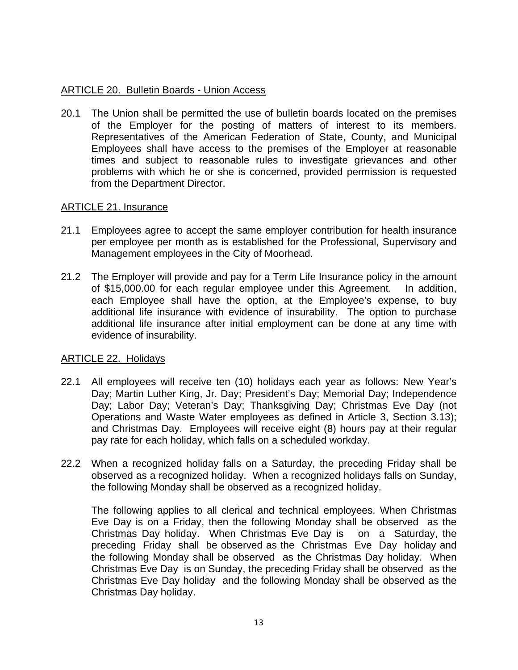## ARTICLE 20. Bulletin Boards - Union Access

20.1 The Union shall be permitted the use of bulletin boards located on the premises of the Employer for the posting of matters of interest to its members. Representatives of the American Federation of State, County, and Municipal Employees shall have access to the premises of the Employer at reasonable times and subject to reasonable rules to investigate grievances and other problems with which he or she is concerned, provided permission is requested from the Department Director.

## ARTICLE 21. Insurance

- 21.1 Employees agree to accept the same employer contribution for health insurance per employee per month as is established for the Professional, Supervisory and Management employees in the City of Moorhead.
- 21.2 The Employer will provide and pay for a Term Life Insurance policy in the amount of \$15,000.00 for each regular employee under this Agreement. In addition, each Employee shall have the option, at the Employee's expense, to buy additional life insurance with evidence of insurability. The option to purchase additional life insurance after initial employment can be done at any time with evidence of insurability.

## ARTICLE 22. Holidays

- 22.1 All employees will receive ten (10) holidays each year as follows: New Year's Day; Martin Luther King, Jr. Day; President's Day; Memorial Day; Independence Day; Labor Day; Veteran's Day; Thanksgiving Day; Christmas Eve Day (not Operations and Waste Water employees as defined in Article 3, Section 3.13); and Christmas Day. Employees will receive eight (8) hours pay at their regular pay rate for each holiday, which falls on a scheduled workday.
- 22.2 When a recognized holiday falls on a Saturday, the preceding Friday shall be observed as a recognized holiday. When a recognized holidays falls on Sunday, the following Monday shall be observed as a recognized holiday.

The following applies to all clerical and technical employees. When Christmas Eve Day is on a Friday, then the following Monday shall be observed as the Christmas Day holiday. When Christmas Eve Day is on a Saturday, the preceding Friday shall be observed as the Christmas Eve Day holiday and the following Monday shall be observed as the Christmas Day holiday. When Christmas Eve Day is on Sunday, the preceding Friday shall be observed as the Christmas Eve Day holiday and the following Monday shall be observed as the Christmas Day holiday.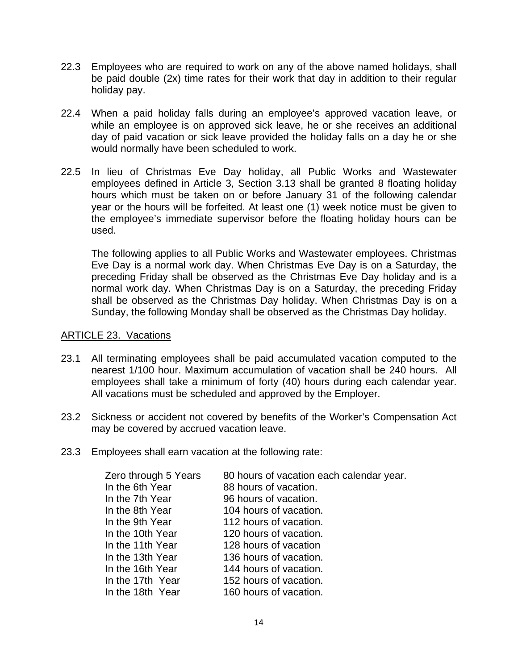- 22.3 Employees who are required to work on any of the above named holidays, shall be paid double (2x) time rates for their work that day in addition to their regular holiday pay.
- 22.4 When a paid holiday falls during an employee's approved vacation leave, or while an employee is on approved sick leave, he or she receives an additional day of paid vacation or sick leave provided the holiday falls on a day he or she would normally have been scheduled to work.
- 22.5 In lieu of Christmas Eve Day holiday, all Public Works and Wastewater employees defined in Article 3, Section 3.13 shall be granted 8 floating holiday hours which must be taken on or before January 31 of the following calendar year or the hours will be forfeited. At least one (1) week notice must be given to the employee's immediate supervisor before the floating holiday hours can be used.

The following applies to all Public Works and Wastewater employees. Christmas Eve Day is a normal work day. When Christmas Eve Day is on a Saturday, the preceding Friday shall be observed as the Christmas Eve Day holiday and is a normal work day. When Christmas Day is on a Saturday, the preceding Friday shall be observed as the Christmas Day holiday. When Christmas Day is on a Sunday, the following Monday shall be observed as the Christmas Day holiday.

#### ARTICLE 23. Vacations

- 23.1 All terminating employees shall be paid accumulated vacation computed to the nearest 1/100 hour. Maximum accumulation of vacation shall be 240 hours. All employees shall take a minimum of forty (40) hours during each calendar year. All vacations must be scheduled and approved by the Employer.
- 23.2 Sickness or accident not covered by benefits of the Worker's Compensation Act may be covered by accrued vacation leave.
- 23.3 Employees shall earn vacation at the following rate:

| Zero through 5 Years | 80 hours of vacation each calendar year. |
|----------------------|------------------------------------------|
| In the 6th Year      | 88 hours of vacation.                    |
| In the 7th Year      | 96 hours of vacation.                    |
| In the 8th Year      | 104 hours of vacation.                   |
| In the 9th Year      | 112 hours of vacation.                   |
| In the 10th Year     | 120 hours of vacation.                   |
| In the 11th Year     | 128 hours of vacation                    |
| In the 13th Year     | 136 hours of vacation.                   |
| In the 16th Year     | 144 hours of vacation.                   |
| In the 17th Year     | 152 hours of vacation.                   |
| In the 18th Year     | 160 hours of vacation.                   |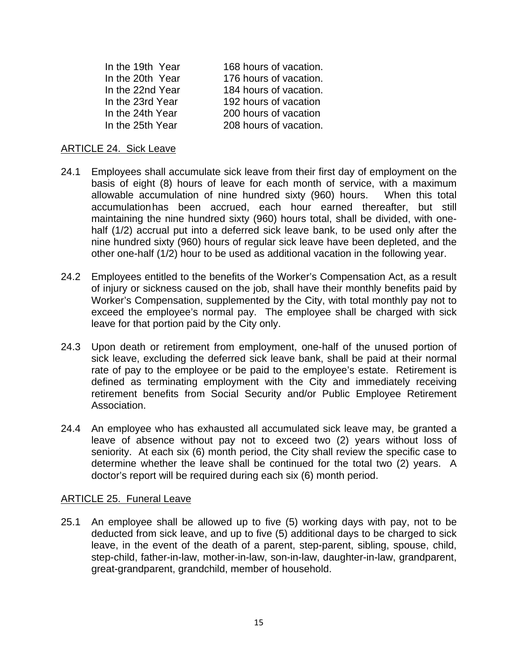| In the 19th Year | 168 hours of vacation. |
|------------------|------------------------|
| In the 20th Year | 176 hours of vacation. |
| In the 22nd Year | 184 hours of vacation. |
| In the 23rd Year | 192 hours of vacation  |
| In the 24th Year | 200 hours of vacation  |
| In the 25th Year | 208 hours of vacation. |

#### ARTICLE 24. Sick Leave

- 24.1 Employees shall accumulate sick leave from their first day of employment on the basis of eight (8) hours of leave for each month of service, with a maximum allowable accumulation of nine hundred sixty (960) hours. When this total accumulation has been accrued, each hour earned thereafter, but still maintaining the nine hundred sixty (960) hours total, shall be divided, with onehalf (1/2) accrual put into a deferred sick leave bank, to be used only after the nine hundred sixty (960) hours of regular sick leave have been depleted, and the other one-half (1/2) hour to be used as additional vacation in the following year.
- 24.2 Employees entitled to the benefits of the Worker's Compensation Act, as a result of injury or sickness caused on the job, shall have their monthly benefits paid by Worker's Compensation, supplemented by the City, with total monthly pay not to exceed the employee's normal pay. The employee shall be charged with sick leave for that portion paid by the City only.
- 24.3 Upon death or retirement from employment, one-half of the unused portion of sick leave, excluding the deferred sick leave bank, shall be paid at their normal rate of pay to the employee or be paid to the employee's estate. Retirement is defined as terminating employment with the City and immediately receiving retirement benefits from Social Security and/or Public Employee Retirement Association.
- 24.4 An employee who has exhausted all accumulated sick leave may, be granted a leave of absence without pay not to exceed two (2) years without loss of seniority. At each six (6) month period, the City shall review the specific case to determine whether the leave shall be continued for the total two (2) years. A doctor's report will be required during each six (6) month period.

#### ARTICLE 25. Funeral Leave

25.1 An employee shall be allowed up to five (5) working days with pay, not to be deducted from sick leave, and up to five (5) additional days to be charged to sick leave, in the event of the death of a parent, step-parent, sibling, spouse, child, step-child, father-in-law, mother-in-law, son-in-law, daughter-in-law, grandparent, great-grandparent, grandchild, member of household.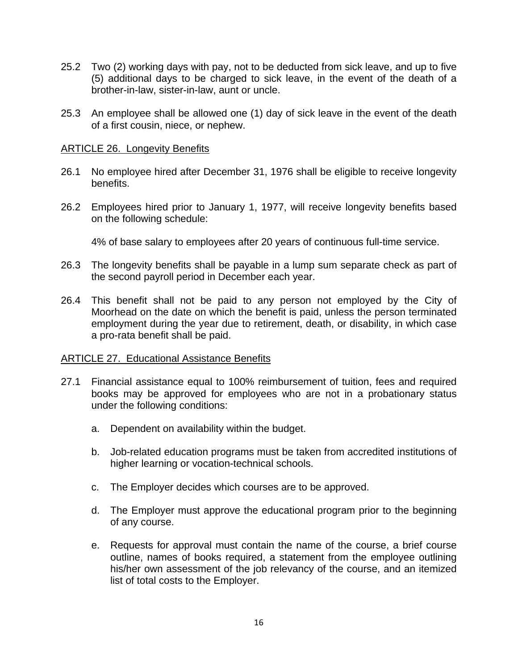- 25.2 Two (2) working days with pay, not to be deducted from sick leave, and up to five (5) additional days to be charged to sick leave, in the event of the death of a brother-in-law, sister-in-law, aunt or uncle.
- 25.3 An employee shall be allowed one (1) day of sick leave in the event of the death of a first cousin, niece, or nephew.

#### ARTICLE 26. Longevity Benefits

- 26.1 No employee hired after December 31, 1976 shall be eligible to receive longevity benefits.
- 26.2 Employees hired prior to January 1, 1977, will receive longevity benefits based on the following schedule:

4% of base salary to employees after 20 years of continuous full-time service.

- 26.3 The longevity benefits shall be payable in a lump sum separate check as part of the second payroll period in December each year.
- 26.4 This benefit shall not be paid to any person not employed by the City of Moorhead on the date on which the benefit is paid, unless the person terminated employment during the year due to retirement, death, or disability, in which case a pro-rata benefit shall be paid.

## ARTICLE 27. Educational Assistance Benefits

- 27.1 Financial assistance equal to 100% reimbursement of tuition, fees and required books may be approved for employees who are not in a probationary status under the following conditions:
	- a. Dependent on availability within the budget.
	- b. Job-related education programs must be taken from accredited institutions of higher learning or vocation-technical schools.
	- c. The Employer decides which courses are to be approved.
	- d. The Employer must approve the educational program prior to the beginning of any course.
	- e. Requests for approval must contain the name of the course, a brief course outline, names of books required, a statement from the employee outlining his/her own assessment of the job relevancy of the course, and an itemized list of total costs to the Employer.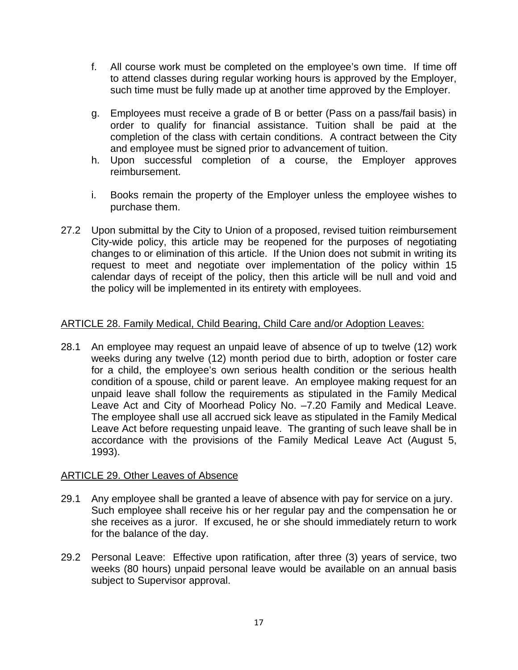- f. All course work must be completed on the employee's own time. If time off to attend classes during regular working hours is approved by the Employer, such time must be fully made up at another time approved by the Employer.
- g. Employees must receive a grade of B or better (Pass on a pass/fail basis) in order to qualify for financial assistance. Tuition shall be paid at the completion of the class with certain conditions. A contract between the City and employee must be signed prior to advancement of tuition.
- h. Upon successful completion of a course, the Employer approves reimbursement.
- i. Books remain the property of the Employer unless the employee wishes to purchase them.
- 27.2 Upon submittal by the City to Union of a proposed, revised tuition reimbursement City-wide policy, this article may be reopened for the purposes of negotiating changes to or elimination of this article. If the Union does not submit in writing its request to meet and negotiate over implementation of the policy within 15 calendar days of receipt of the policy, then this article will be null and void and the policy will be implemented in its entirety with employees.

## ARTICLE 28. Family Medical, Child Bearing, Child Care and/or Adoption Leaves:

28.1 An employee may request an unpaid leave of absence of up to twelve (12) work weeks during any twelve (12) month period due to birth, adoption or foster care for a child, the employee's own serious health condition or the serious health condition of a spouse, child or parent leave. An employee making request for an unpaid leave shall follow the requirements as stipulated in the Family Medical Leave Act and City of Moorhead Policy No. –7.20 Family and Medical Leave. The employee shall use all accrued sick leave as stipulated in the Family Medical Leave Act before requesting unpaid leave. The granting of such leave shall be in accordance with the provisions of the Family Medical Leave Act (August 5, 1993).

## ARTICLE 29. Other Leaves of Absence

- 29.1 Any employee shall be granted a leave of absence with pay for service on a jury. Such employee shall receive his or her regular pay and the compensation he or she receives as a juror. If excused, he or she should immediately return to work for the balance of the day.
- 29.2 Personal Leave: Effective upon ratification, after three (3) years of service, two weeks (80 hours) unpaid personal leave would be available on an annual basis subject to Supervisor approval.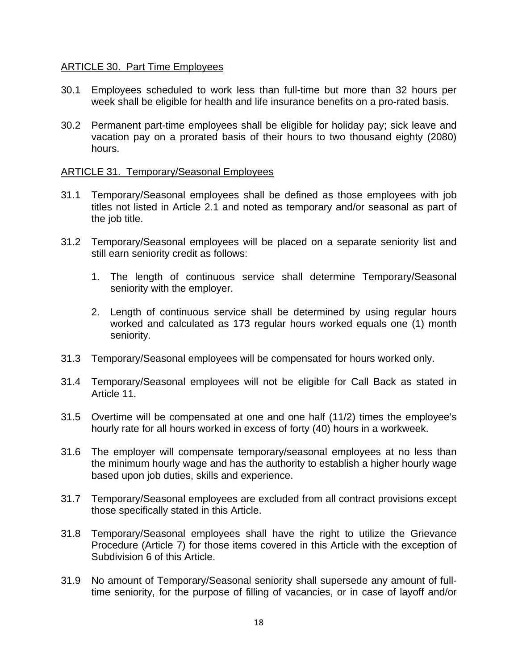## ARTICLE 30. Part Time Employees

- 30.1 Employees scheduled to work less than full-time but more than 32 hours per week shall be eligible for health and life insurance benefits on a pro-rated basis.
- 30.2 Permanent part-time employees shall be eligible for holiday pay; sick leave and vacation pay on a prorated basis of their hours to two thousand eighty (2080) hours.

#### ARTICLE 31. Temporary/Seasonal Employees

- 31.1 Temporary/Seasonal employees shall be defined as those employees with job titles not listed in Article 2.1 and noted as temporary and/or seasonal as part of the job title.
- 31.2 Temporary/Seasonal employees will be placed on a separate seniority list and still earn seniority credit as follows:
	- 1. The length of continuous service shall determine Temporary/Seasonal seniority with the employer.
	- 2. Length of continuous service shall be determined by using regular hours worked and calculated as 173 regular hours worked equals one (1) month seniority.
- 31.3 Temporary/Seasonal employees will be compensated for hours worked only.
- 31.4 Temporary/Seasonal employees will not be eligible for Call Back as stated in Article 11.
- 31.5 Overtime will be compensated at one and one half (11/2) times the employee's hourly rate for all hours worked in excess of forty (40) hours in a workweek.
- 31.6 The employer will compensate temporary/seasonal employees at no less than the minimum hourly wage and has the authority to establish a higher hourly wage based upon job duties, skills and experience.
- 31.7 Temporary/Seasonal employees are excluded from all contract provisions except those specifically stated in this Article.
- 31.8 Temporary/Seasonal employees shall have the right to utilize the Grievance Procedure (Article 7) for those items covered in this Article with the exception of Subdivision 6 of this Article.
- 31.9 No amount of Temporary/Seasonal seniority shall supersede any amount of fulltime seniority, for the purpose of filling of vacancies, or in case of layoff and/or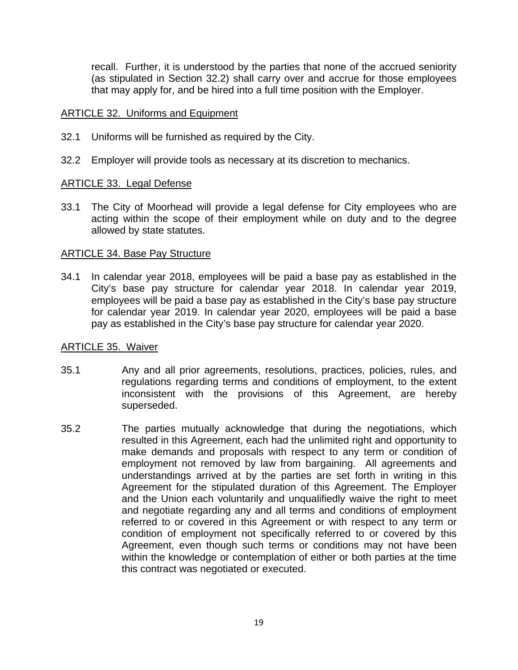recall. Further, it is understood by the parties that none of the accrued seniority (as stipulated in Section 32.2) shall carry over and accrue for those employees that may apply for, and be hired into a full time position with the Employer.

#### ARTICLE 32. Uniforms and Equipment

- 32.1 Uniforms will be furnished as required by the City.
- 32.2 Employer will provide tools as necessary at its discretion to mechanics.

#### ARTICLE 33. Legal Defense

33.1 The City of Moorhead will provide a legal defense for City employees who are acting within the scope of their employment while on duty and to the degree allowed by state statutes.

#### ARTICLE 34. Base Pay Structure

34.1 In calendar year 2018, employees will be paid a base pay as established in the City's base pay structure for calendar year 2018. In calendar year 2019, employees will be paid a base pay as established in the City's base pay structure for calendar year 2019. In calendar year 2020, employees will be paid a base pay as established in the City's base pay structure for calendar year 2020.

#### ARTICLE 35. Waiver

- 35.1 Any and all prior agreements, resolutions, practices, policies, rules, and regulations regarding terms and conditions of employment, to the extent inconsistent with the provisions of this Agreement, are hereby superseded.
- 35.2 The parties mutually acknowledge that during the negotiations, which resulted in this Agreement, each had the unlimited right and opportunity to make demands and proposals with respect to any term or condition of employment not removed by law from bargaining. All agreements and understandings arrived at by the parties are set forth in writing in this Agreement for the stipulated duration of this Agreement. The Employer and the Union each voluntarily and unqualifiedly waive the right to meet and negotiate regarding any and all terms and conditions of employment referred to or covered in this Agreement or with respect to any term or condition of employment not specifically referred to or covered by this Agreement, even though such terms or conditions may not have been within the knowledge or contemplation of either or both parties at the time this contract was negotiated or executed.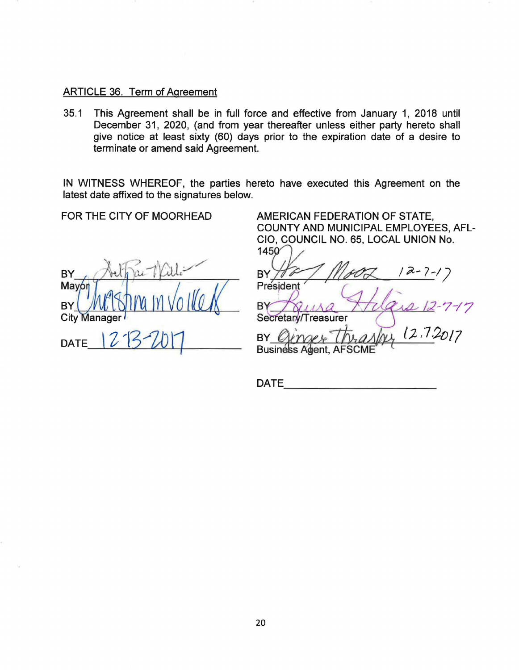## ARTICLE 36. Term of Agreement

35.1 This Agreement shall be in full force and effective from January 1, 2018 until December 31, 2020, (and from year thereafter unless either party hereto shall give notice at least sixty (60) days prior to the expiration date of a desire to terminate or amend said Agreement.

IN WITNESS WHEREOF, the parties hereto have executed this Agreement on the latest date affixed to the signatures below.

FOR THE CITY OF MOORHEAD

**BY** Mayor **BY City Manager** DATE

AMERICAN FEDERATION OF STATE, COUNTY AND MUNICIPAL EMPLOYEES, AFL-

CIO, COUNCIL NO. 65, LOCAL UNION No.<br>1450<br>BY He / Mgol (2-1-2-1)<br>President

 $\int$ gura Magazie-1-17

 $(2, 1)$ BY  $\varnothing$ 

**Business Agent, AF** 

DATE - ----------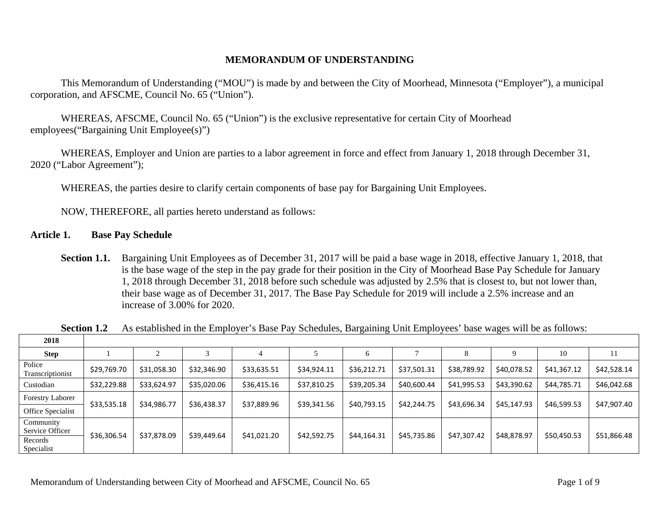#### **MEMORANDUM OF UNDERSTANDING**

 This Memorandum of Understanding ("MOU") is made by and between the City of Moorhead, Minnesota ("Employer"), a municipal corporation, and AFSCME, Council No. 65 ("Union").

WHEREAS, AFSCME, Council No. 65 ("Union") is the exclusive representative for certain City of Moorhead employees("Bargaining Unit Employee(s)")

WHEREAS, Employer and Union are parties to a labor agreement in force and effect from January 1, 2018 through December 31, 2020 ("Labor Agreement");

WHEREAS, the parties desire to clarify certain components of base pay for Bargaining Unit Employees.

NOW, THEREFORE, all parties hereto understand as follows:

#### **Article 1. Base Pay Schedule**

**Section 1.1.** Bargaining Unit Employees as of December 31, 2017 will be paid a base wage in 2018, effective January 1, 2018, that is the base wage of the step in the pay grade for their position in the City of Moorhead Base Pay Schedule for January 1, 2018 through December 31, 2018 before such schedule was adjusted by 2.5% that is closest to, but not lower than, their base wage as of December 31, 2017. The Base Pay Schedule for 2019 will include a 2.5% increase and an increase of 3.00% for 2020.

| 2018                         |             |             |             |             |             |             |             |             |             |             |             |
|------------------------------|-------------|-------------|-------------|-------------|-------------|-------------|-------------|-------------|-------------|-------------|-------------|
| <b>Step</b>                  |             |             |             |             |             |             |             |             | Q           | 10          | 11          |
| Police<br>Transcriptionist   | \$29,769.70 | \$31,058.30 | \$32,346.90 | \$33,635.51 | \$34,924.11 | \$36,212.71 | \$37,501.31 | \$38,789.92 | \$40,078.52 | \$41,367.12 | \$42,528.14 |
| Custodian                    | \$32,229.88 | \$33,624.97 | \$35,020.06 | \$36,415.16 | \$37,810.25 | \$39,205.34 | \$40,600.44 | \$41,995.53 | \$43,390.62 | \$44,785.71 | \$46,042.68 |
| <b>Forestry Laborer</b>      | \$33,535.18 | \$34,986.77 |             |             |             |             |             | \$43,696.34 | \$45,147.93 | \$46,599.53 | \$47,907.40 |
| Office Specialist            |             |             | \$36,438.37 | \$37,889.96 | \$39,341.56 | \$40,793.15 | \$42,244.75 |             |             |             |             |
| Community<br>Service Officer |             |             |             |             |             |             |             |             |             |             |             |
| Records<br>Specialist        | \$36,306.54 | \$37,878.09 | \$39,449.64 | \$41,021.20 | \$42,592.75 | \$44,164.31 | \$45,735.86 | \$47,307.42 | \$48,878.97 | \$50,450.53 | \$51,866.48 |

**Section 1.2** As established in the Employer's Base Pay Schedules, Bargaining Unit Employees' base wages will be as follows: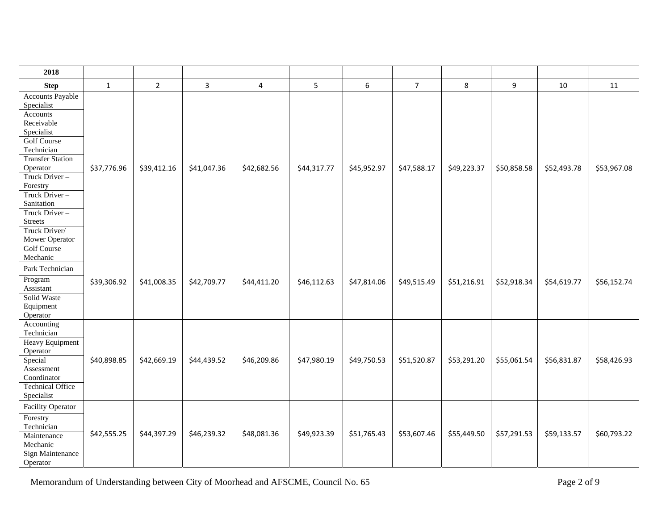| 2018                                                                                                                                                                                                                                                                                       |              |                |             |             |             |             |                |             |             |             |             |
|--------------------------------------------------------------------------------------------------------------------------------------------------------------------------------------------------------------------------------------------------------------------------------------------|--------------|----------------|-------------|-------------|-------------|-------------|----------------|-------------|-------------|-------------|-------------|
| <b>Step</b>                                                                                                                                                                                                                                                                                | $\mathbf{1}$ | $\overline{2}$ | 3           | 4           | 5           | 6           | 7 <sup>7</sup> | 8           | 9           | 10          | 11          |
| <b>Accounts Payable</b><br>Specialist<br>Accounts<br>Receivable<br>Specialist<br><b>Golf Course</b><br>Technician<br><b>Transfer Station</b><br>Operator<br>Truck Driver-<br>Forestry<br>Truck Driver-<br>Sanitation<br>Truck Driver-<br><b>Streets</b><br>Truck Driver/<br>Mower Operator | \$37,776.96  | \$39,412.16    | \$41,047.36 | \$42,682.56 | \$44,317.77 | \$45,952.97 | \$47,588.17    | \$49,223.37 | \$50,858.58 | \$52,493.78 | \$53,967.08 |
| <b>Golf Course</b><br>Mechanic<br>Park Technician<br>Program<br>Assistant<br>Solid Waste<br>Equipment<br>Operator                                                                                                                                                                          | \$39,306.92  | \$41,008.35    | \$42,709.77 | \$44,411.20 | \$46,112.63 | \$47,814.06 | \$49,515.49    | \$51,216.91 | \$52,918.34 | \$54,619.77 | \$56,152.74 |
| Accounting<br>Technician<br>Heavy Equipment<br>Operator<br>Special<br>Assessment<br>Coordinator<br><b>Technical Office</b><br>Specialist                                                                                                                                                   | \$40,898.85  | \$42,669.19    | \$44,439.52 | \$46,209.86 | \$47,980.19 | \$49,750.53 | \$51,520.87    | \$53,291.20 | \$55,061.54 | \$56,831.87 | \$58,426.93 |
| <b>Facility Operator</b><br>Forestry<br>Technician<br>Maintenance<br>Mechanic<br><b>Sign Maintenance</b><br>Operator                                                                                                                                                                       | \$42,555.25  | \$44,397.29    | \$46,239.32 | \$48,081.36 | \$49,923.39 | \$51,765.43 | \$53,607.46    | \$55,449.50 | \$57,291.53 | \$59,133.57 | \$60,793.22 |

Memorandum of Understanding between City of Moorhead and AFSCME, Council No. 65 Page 2 of 9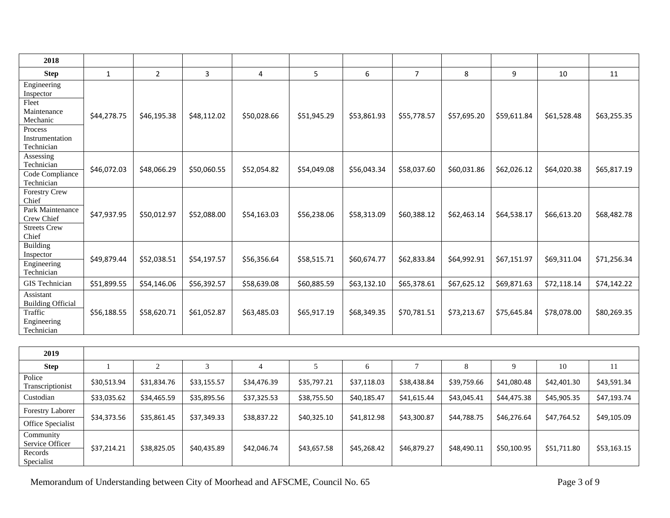| 2018                                                                                                     |              |                |             |             |             |             |                |             |             |             |             |
|----------------------------------------------------------------------------------------------------------|--------------|----------------|-------------|-------------|-------------|-------------|----------------|-------------|-------------|-------------|-------------|
| <b>Step</b>                                                                                              | $\mathbf{1}$ | $\overline{2}$ | 3           | 4           | 5           | 6           | $\overline{7}$ | 8           | 9           | 10          | 11          |
| Engineering<br>Inspector<br>Fleet<br>Maintenance<br>Mechanic<br>Process<br>Instrumentation<br>Technician | \$44,278.75  | \$46,195.38    | \$48,112.02 | \$50,028.66 | \$51,945.29 | \$53,861.93 | \$55,778.57    | \$57,695.20 | \$59,611.84 | \$61,528.48 | \$63,255.35 |
| Assessing<br>Technician<br>Code Compliance<br>Technician                                                 | \$46,072.03  | \$48,066.29    | \$50,060.55 | \$52,054.82 | \$54,049.08 | \$56,043.34 | \$58,037.60    | \$60,031.86 | \$62,026.12 | \$64,020.38 | \$65,817.19 |
| <b>Forestry Crew</b><br>Chief<br>Park Maintenance<br>Crew Chief<br><b>Streets Crew</b><br>Chief          | \$47,937.95  | \$50,012.97    | \$52,088.00 | \$54,163.03 | \$56,238.06 | \$58,313.09 | \$60,388.12    | \$62,463.14 | \$64,538.17 | \$66,613.20 | \$68,482.78 |
| <b>Building</b><br>Inspector<br>Engineering<br>Technician                                                | \$49,879.44  | \$52,038.51    | \$54,197.57 | \$56,356.64 | \$58,515.71 | \$60,674.77 | \$62,833.84    | \$64,992.91 | \$67,151.97 | \$69,311.04 | \$71,256.34 |
| GIS Technician                                                                                           | \$51,899.55  | \$54,146.06    | \$56,392.57 | \$58,639.08 | \$60,885.59 | \$63,132.10 | \$65,378.61    | \$67,625.12 | \$69,871.63 | \$72,118.14 | \$74,142.22 |
| Assistant<br><b>Building Official</b><br>Traffic<br>Engineering<br>Technician                            | \$56,188.55  | \$58,620.71    | \$61,052.87 | \$63,485.03 | \$65,917.19 | \$68,349.35 | \$70,781.51    | \$73,213.67 | \$75,645.84 | \$78,078.00 | \$80,269.35 |

| 2019                                                  |             |             |             |             |             |             |             |             |             |             |             |
|-------------------------------------------------------|-------------|-------------|-------------|-------------|-------------|-------------|-------------|-------------|-------------|-------------|-------------|
| <b>Step</b>                                           |             |             |             | 4           |             | h           |             |             | 9           | 10          | 11          |
| Police<br>Transcriptionist                            | \$30,513.94 | \$31,834.76 | \$33,155.57 | \$34,476.39 | \$35,797.21 | \$37,118.03 | \$38,438.84 | \$39,759.66 | \$41,080.48 | \$42,401.30 | \$43,591.34 |
| Custodian                                             | \$33,035.62 | \$34,465.59 | \$35,895.56 | \$37,325.53 | \$38,755.50 | \$40,185.47 | \$41,615.44 | \$43,045.41 | \$44,475.38 | \$45,905.35 | \$47,193.74 |
| <b>Forestry Laborer</b>                               |             |             |             |             |             |             |             |             |             |             |             |
| Office Specialist                                     | \$34,373.56 | \$35,861.45 | \$37,349.33 | \$38,837.22 | \$40,325.10 | \$41,812.98 | \$43,300.87 | \$44,788.75 | \$46,276.64 | \$47,764.52 | \$49,105.09 |
| Community<br>Service Officer<br>Records<br>Specialist | \$37,214.21 | \$38,825.05 | \$40,435.89 | \$42,046.74 | \$43,657.58 | \$45,268.42 | \$46,879.27 | \$48,490.11 | \$50,100.95 | \$51,711.80 | \$53,163.15 |

Memorandum of Understanding between City of Moorhead and AFSCME, Council No. 65 Page 3 of 9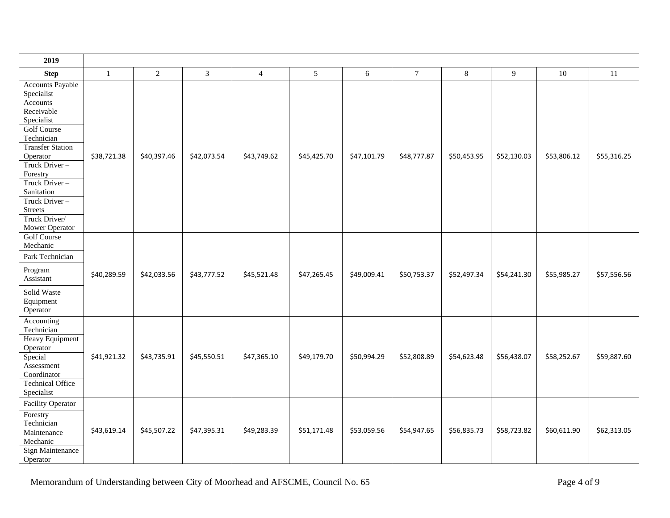| 2019                                                                                                                                                                                                                                                                                       |              |             |                |                |             |             |                |             |             |             |             |
|--------------------------------------------------------------------------------------------------------------------------------------------------------------------------------------------------------------------------------------------------------------------------------------------|--------------|-------------|----------------|----------------|-------------|-------------|----------------|-------------|-------------|-------------|-------------|
| <b>Step</b>                                                                                                                                                                                                                                                                                | $\mathbf{1}$ | $\sqrt{2}$  | $\overline{3}$ | $\overline{4}$ | 5           | 6           | $\overline{7}$ | 8           | 9           | 10          | 11          |
| <b>Accounts Payable</b><br>Specialist<br>Accounts<br>Receivable<br>Specialist<br><b>Golf Course</b><br>Technician<br><b>Transfer Station</b><br>Operator<br>Truck Driver-<br>Forestry<br>Truck Driver-<br>Sanitation<br>Truck Driver-<br><b>Streets</b><br>Truck Driver/<br>Mower Operator | \$38,721.38  | \$40,397.46 | \$42,073.54    | \$43,749.62    | \$45,425.70 | \$47,101.79 | \$48,777.87    | \$50,453.95 | \$52,130.03 | \$53,806.12 | \$55,316.25 |
| <b>Golf Course</b><br>Mechanic<br>Park Technician<br>Program<br>Assistant                                                                                                                                                                                                                  | \$40,289.59  | \$42,033.56 | \$43,777.52    | \$45,521.48    | \$47,265.45 | \$49,009.41 | \$50,753.37    | \$52,497.34 | \$54,241.30 | \$55,985.27 | \$57,556.56 |
| Solid Waste<br>Equipment<br>Operator                                                                                                                                                                                                                                                       |              |             |                |                |             |             |                |             |             |             |             |
| Accounting<br>Technician<br>Heavy Equipment<br>Operator<br>Special<br>Assessment<br>Coordinator<br><b>Technical Office</b><br>Specialist                                                                                                                                                   | \$41,921.32  | \$43,735.91 | \$45,550.51    | \$47,365.10    | \$49,179.70 | \$50,994.29 | \$52,808.89    | \$54,623.48 | \$56,438.07 | \$58,252.67 | \$59,887.60 |
| <b>Facility Operator</b><br>Forestry<br>Technician<br>Maintenance<br>Mechanic<br>Sign Maintenance<br>Operator                                                                                                                                                                              | \$43,619.14  | \$45,507.22 | \$47,395.31    | \$49,283.39    | \$51,171.48 | \$53,059.56 | \$54,947.65    | \$56,835.73 | \$58,723.82 | \$60,611.90 | \$62,313.05 |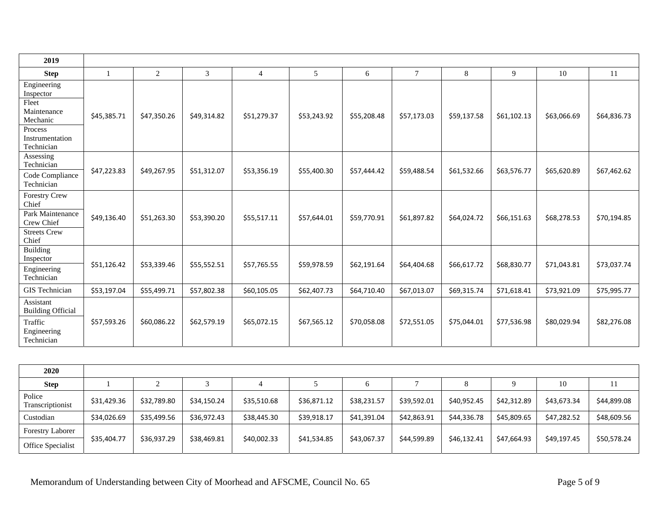| 2019                                                                                                     |             |             |             |                |             |             |                 |             |             |             |               |
|----------------------------------------------------------------------------------------------------------|-------------|-------------|-------------|----------------|-------------|-------------|-----------------|-------------|-------------|-------------|---------------|
| <b>Step</b>                                                                                              | -1          | 2           | 3           | $\overline{4}$ | 5           | 6           | $7\phantom{.0}$ | 8           | 9           | 10          | <sup>11</sup> |
| Engineering<br>Inspector<br>Fleet<br>Maintenance<br>Mechanic<br>Process<br>Instrumentation<br>Technician | \$45,385.71 | \$47,350.26 | \$49,314.82 | \$51,279.37    | \$53,243.92 | \$55,208.48 | \$57,173.03     | \$59,137.58 | \$61,102.13 | \$63,066.69 | \$64,836.73   |
| Assessing<br>Technician<br>Code Compliance<br>Technician                                                 | \$47,223.83 | \$49,267.95 | \$51,312.07 | \$53,356.19    | \$55,400.30 | \$57,444.42 | \$59,488.54     | \$61,532.66 | \$63,576.77 | \$65,620.89 | \$67,462.62   |
| <b>Forestry Crew</b><br>Chief<br>Park Maintenance<br>Crew Chief<br><b>Streets Crew</b><br>Chief          | \$49,136.40 | \$51,263.30 | \$53,390.20 | \$55,517.11    | \$57,644.01 | \$59,770.91 | \$61,897.82     | \$64,024.72 | \$66,151.63 | \$68,278.53 | \$70,194.85   |
| <b>Building</b><br>Inspector<br>Engineering<br>Technician                                                | \$51,126.42 | \$53,339.46 | \$55,552.51 | \$57,765.55    | \$59,978.59 | \$62,191.64 | \$64,404.68     | \$66,617.72 | \$68,830.77 | \$71,043.81 | \$73,037.74   |
| GIS Technician                                                                                           | \$53,197.04 | \$55,499.71 | \$57,802.38 | \$60,105.05    | \$62,407.73 | \$64,710.40 | \$67,013.07     | \$69,315.74 | \$71,618.41 | \$73,921.09 | \$75,995.77   |
| Assistant<br><b>Building Official</b><br>Traffic<br>Engineering<br>Technician                            | \$57,593.26 | \$60,086.22 | \$62,579.19 | \$65,072.15    | \$67,565.12 | \$70,058.08 | \$72,551.05     | \$75,044.01 | \$77,536.98 | \$80,029.94 | \$82,276.08   |

| 2020                       |             |             |             |             |             |             |             |             |             |             |             |
|----------------------------|-------------|-------------|-------------|-------------|-------------|-------------|-------------|-------------|-------------|-------------|-------------|
| <b>Step</b>                |             |             |             |             |             |             |             |             |             | 10          |             |
| Police<br>Transcriptionist | \$31,429.36 | \$32,789.80 | \$34,150.24 | \$35,510.68 | \$36,871.12 | \$38,231.57 | \$39,592.01 | \$40,952.45 | \$42,312.89 | \$43,673.34 | \$44,899.08 |
| Custodian                  | \$34,026.69 | \$35,499.56 | \$36,972.43 | \$38,445.30 | \$39,918.17 | \$41,391.04 | \$42,863.91 | \$44,336.78 | \$45,809.65 | \$47,282.52 | \$48,609.56 |
| <b>Forestry Laborer</b>    |             |             |             |             |             |             |             |             |             |             |             |
| <b>Office Specialist</b>   | \$35,404.77 | \$36,937.29 | \$38,469.81 | \$40,002.33 | \$41,534.85 | \$43,067.37 | \$44,599.89 | \$46,132.41 | \$47,664.93 | \$49,197.45 | \$50,578.24 |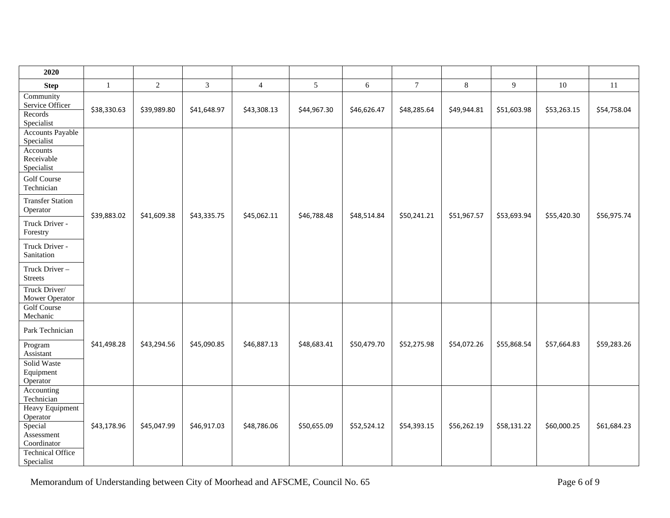| 2020                                                                                                                                     |              |                |                |                |                |             |                |                |             |             |             |
|------------------------------------------------------------------------------------------------------------------------------------------|--------------|----------------|----------------|----------------|----------------|-------------|----------------|----------------|-------------|-------------|-------------|
| <b>Step</b>                                                                                                                              | $\mathbf{1}$ | $\overline{2}$ | $\mathfrak{Z}$ | $\overline{4}$ | $\mathfrak{S}$ | 6           | $\overline{7}$ | $8\phantom{.}$ | 9           | 10          | 11          |
| Community<br>Service Officer<br>Records<br>Specialist                                                                                    | \$38,330.63  | \$39,989.80    | \$41,648.97    | \$43,308.13    | \$44,967.30    | \$46,626.47 | \$48,285.64    | \$49,944.81    | \$51,603.98 | \$53,263.15 | \$54,758.04 |
| <b>Accounts Payable</b><br>Specialist<br>Accounts<br>Receivable<br>Specialist<br><b>Golf Course</b><br>Technician                        |              |                |                |                |                |             |                |                |             |             |             |
| <b>Transfer Station</b><br>Operator                                                                                                      | \$39,883.02  | \$41,609.38    | \$43,335.75    | \$45,062.11    | \$46,788.48    | \$48,514.84 | \$50,241.21    | \$51,967.57    | \$53,693.94 | \$55,420.30 | \$56,975.74 |
| Truck Driver -<br>Forestry                                                                                                               |              |                |                |                |                |             |                |                |             |             |             |
| Truck Driver -<br>Sanitation                                                                                                             |              |                |                |                |                |             |                |                |             |             |             |
| Truck Driver-<br><b>Streets</b>                                                                                                          |              |                |                |                |                |             |                |                |             |             |             |
| Truck Driver/<br>Mower Operator                                                                                                          |              |                |                |                |                |             |                |                |             |             |             |
| <b>Golf Course</b><br>Mechanic                                                                                                           |              |                |                |                |                |             |                |                |             |             |             |
| Park Technician<br>Program<br>Assistant<br>Solid Waste<br>Equipment<br>Operator                                                          | \$41,498.28  | \$43,294.56    | \$45,090.85    | \$46,887.13    | \$48,683.41    | \$50,479.70 | \$52,275.98    | \$54,072.26    | \$55,868.54 | \$57,664.83 | \$59,283.26 |
| Accounting<br>Technician<br>Heavy Equipment<br>Operator<br>Special<br>Assessment<br>Coordinator<br><b>Technical Office</b><br>Specialist | \$43,178.96  | \$45,047.99    | \$46,917.03    | \$48,786.06    | \$50,655.09    | \$52,524.12 | \$54,393.15    | \$56,262.19    | \$58,131.22 | \$60,000.25 | \$61,684.23 |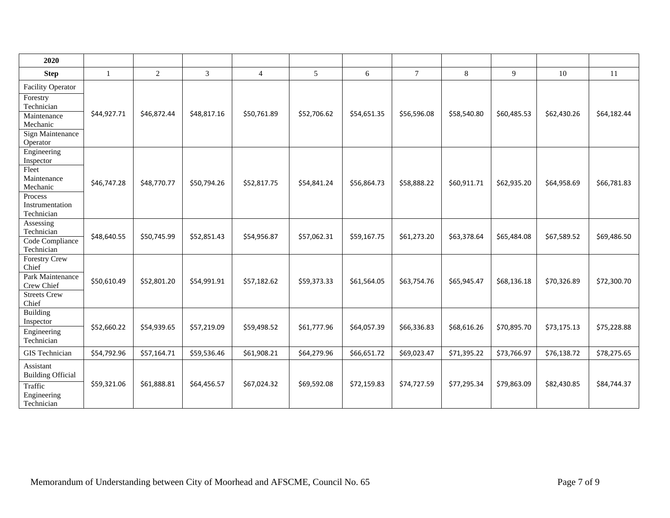| 2020                                                                                                                 |              |              |             |                |             |             |             |             |             |             |             |
|----------------------------------------------------------------------------------------------------------------------|--------------|--------------|-------------|----------------|-------------|-------------|-------------|-------------|-------------|-------------|-------------|
| <b>Step</b>                                                                                                          | $\mathbf{1}$ | $\mathbf{2}$ | 3           | $\overline{4}$ | 5           | 6           | $\tau$      | $8\,$       | 9           | 10          | 11          |
| <b>Facility Operator</b><br>Forestry                                                                                 |              |              |             |                |             |             |             |             |             |             |             |
| Technician<br>Maintenance<br>Mechanic<br>Sign Maintenance                                                            | \$44,927.71  | \$46,872.44  | \$48,817.16 | \$50,761.89    | \$52,706.62 | \$54,651.35 | \$56,596.08 | \$58,540.80 | \$60,485.53 | \$62,430.26 | \$64,182.44 |
| Operator<br>Engineering<br>Inspector<br>Fleet<br>Maintenance<br>Mechanic<br>Process<br>Instrumentation<br>Technician | \$46,747.28  | \$48,770.77  | \$50,794.26 | \$52,817.75    | \$54,841.24 | \$56,864.73 | \$58,888.22 | \$60,911.71 | \$62,935.20 | \$64,958.69 | \$66,781.83 |
| Assessing<br>Technician<br>Code Compliance<br>Technician                                                             | \$48,640.55  | \$50,745.99  | \$52,851.43 | \$54,956.87    | \$57,062.31 | \$59,167.75 | \$61,273.20 | \$63,378.64 | \$65,484.08 | \$67,589.52 | \$69,486.50 |
| <b>Forestry Crew</b><br>Chief<br>Park Maintenance<br>Crew Chief<br>Streets Crew<br>Chief                             | \$50,610.49  | \$52,801.20  | \$54,991.91 | \$57,182.62    | \$59,373.33 | \$61,564.05 | \$63,754.76 | \$65,945.47 | \$68,136.18 | \$70,326.89 | \$72,300.70 |
| Building<br>Inspector<br>Engineering<br>Technician                                                                   | \$52,660.22  | \$54,939.65  | \$57,219.09 | \$59,498.52    | \$61,777.96 | \$64,057.39 | \$66,336.83 | \$68,616.26 | \$70,895.70 | \$73,175.13 | \$75,228.88 |
| GIS Technician                                                                                                       | \$54,792.96  | \$57,164.71  | \$59,536.46 | \$61,908.21    | \$64,279.96 | \$66,651.72 | \$69,023.47 | \$71,395.22 | \$73,766.97 | \$76,138.72 | \$78,275.65 |
| Assistant<br><b>Building Official</b><br>Traffic<br>Engineering<br>Technician                                        | \$59,321.06  | \$61,888.81  | \$64,456.57 | \$67,024.32    | \$69,592.08 | \$72,159.83 | \$74,727.59 | \$77,295.34 | \$79,863.09 | \$82,430.85 | \$84,744.37 |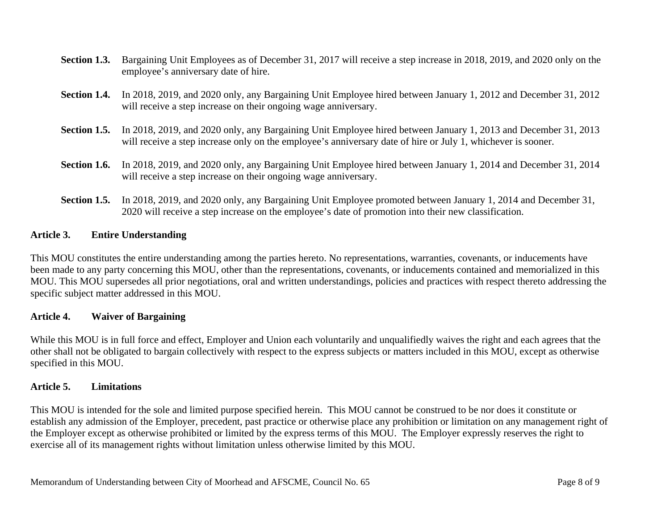- **Section 1.3.** Bargaining Unit Employees as of December 31, 2017 will receive a step increase in 2018, 2019, and 2020 only on the employee's anniversary date of hire.
- **Section 1.4.** In 2018, 2019, and 2020 only, any Bargaining Unit Employee hired between January 1, 2012 and December 31, 2012 will receive a step increase on their ongoing wage anniversary.
- **Section 1.5.** In 2018, 2019, and 2020 only, any Bargaining Unit Employee hired between January 1, 2013 and December 31, 2013 will receive a step increase only on the employee's anniversary date of hire or July 1, whichever is sooner.
- **Section 1.6.** In 2018, 2019, and 2020 only, any Bargaining Unit Employee hired between January 1, 2014 and December 31, 2014 will receive a step increase on their ongoing wage anniversary.
- **Section 1.5.** In 2018, 2019, and 2020 only, any Bargaining Unit Employee promoted between January 1, 2014 and December 31, 2020 will receive a step increase on the employee's date of promotion into their new classification.

#### **Article 3. Entire Understanding**

This MOU constitutes the entire understanding among the parties hereto. No representations, warranties, covenants, or inducements have been made to any party concerning this MOU, other than the representations, covenants, or inducements contained and memorialized in this MOU. This MOU supersedes all prior negotiations, oral and written understandings, policies and practices with respect thereto addressing the specific subject matter addressed in this MOU.

#### **Article 4. Waiver of Bargaining**

While this MOU is in full force and effect, Employer and Union each voluntarily and unqualifiedly waives the right and each agrees that the other shall not be obligated to bargain collectively with respect to the express subjects or matters included in this MOU, except as otherwise specified in this MOU.

#### **Article 5. Limitations**

This MOU is intended for the sole and limited purpose specified herein. This MOU cannot be construed to be nor does it constitute or establish any admission of the Employer, precedent, past practice or otherwise place any prohibition or limitation on any management right of the Employer except as otherwise prohibited or limited by the express terms of this MOU. The Employer expressly reserves the right to exercise all of its management rights without limitation unless otherwise limited by this MOU.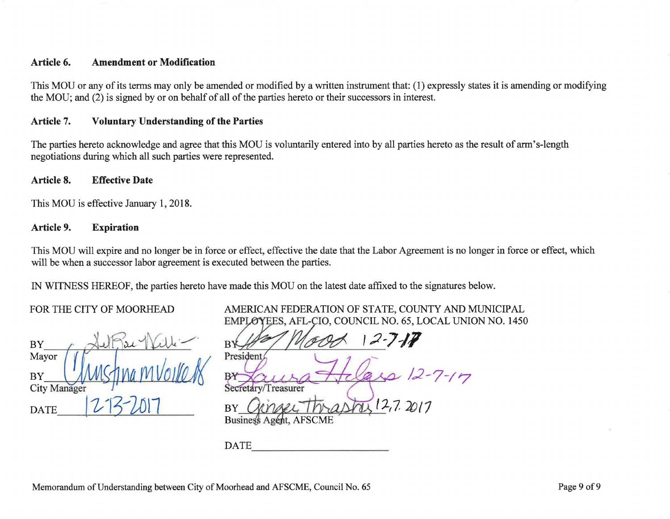### **Article 6. Amendment or Modification**

This MOU or any of its terms may only be amended or modified by a written instrument that: (1) expressly states it is amending or modifying the MOU; and (2) is signed by or on behalf of all of the parties hereto or their successors in interest.

#### **Article 7. Voluntary Understanding of the Parties**

The parties hereto acknowledge and agree that this MOU is voluntarily entered into by all parties hereto as the result of arm's-length negotiations during which all such parties were represented.

#### **Article 8. Effective Date**

This MOU is effective January 1, 2018.

#### **Article 9. Expiration**

This MOU will expire and no longer be in force or effect, effective the date that the Labor Agreement is no longer in force or effect, which will be when a successor labor agreement is executed between the parties.

IN WITNESS HEREOF, the parties hereto have made this MOU on the latest date affixed to the signatures below.

#### FOR THE CITY OF MOORHEAD

| <b>BY</b>           |               |  |  |  |  |
|---------------------|---------------|--|--|--|--|
| Mayor               |               |  |  |  |  |
| <b>BY</b>           | $M$ $M$ $(n)$ |  |  |  |  |
| <b>City Manager</b> |               |  |  |  |  |
| <b>DATE</b>         |               |  |  |  |  |

| AMERICAN FEDERATION OF STATE, COUNTY AND MUNICIPAL       |  |  |
|----------------------------------------------------------|--|--|
| EMPLOYEES, AFL-CIO, COUNCIL NO. 65, LOCAL UNION NO. 1450 |  |  |

If 10000 12-7-17 12-7-17 Secretary/Treasurer BY *Opinger Thrashy 12,7, 2017* 

**DATE**